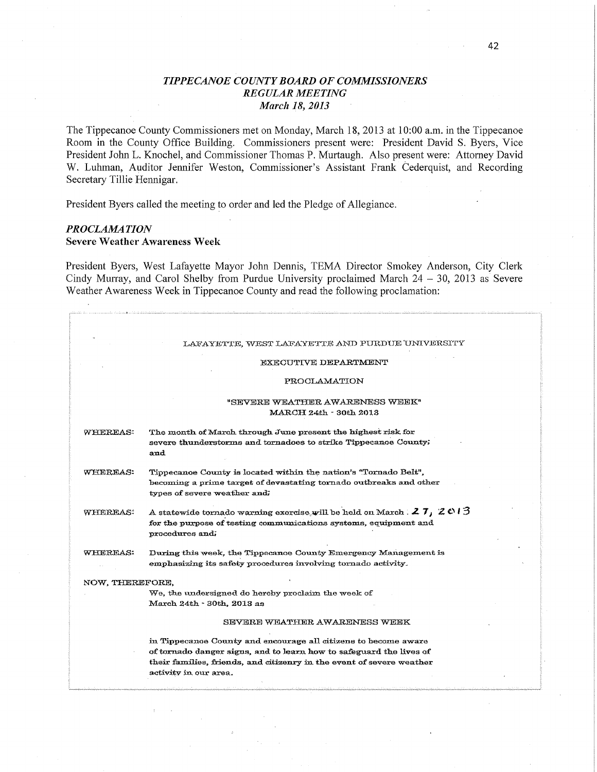# TIPPECANOE COUNTY BOARD OF COMMISSIONERS **REGULAR MEETING** March 18, 2013

The Tippecanoe County Commissioners met on Monday, March 18, 2013 at 10:00 a.m. in the Tippecanoe Room in the County Office Building. Commissioners present were: President David S. Byers, Vice President John L. Knochel, and Commissioner Thomas P. Murtaugh. Also present were: Attorney David W. Luhman, Auditor Jennifer Weston, Commissioner's Assistant Frank Cederquist, and Recording Secretary Tillie Hennigar.

President Byers called the meeting to order and led the Pledge of Allegiance.

## **PROCLAMATION Severe Weather Awareness Week**

President Byers, West Lafayette Mayor John Dennis, TEMA Director Smokey Anderson, City Clerk Cindy Murray, and Carol Shelby from Purdue University proclaimed March  $24 - 30$ , 2013 as Severe Weather Awareness Week in Tippecanoe County and read the following proclamation:

|                 | LAFAYETTE, WEST LAFAYETTE AND PURDUE UNIVERSITY                          |
|-----------------|--------------------------------------------------------------------------|
|                 | EXECUTIVE DEPARTMENT                                                     |
|                 | PROCLAMATION                                                             |
|                 | "SEVERE WEATHER AWARENESS WEEK"                                          |
|                 | MARCH 24th - 30th 2013                                                   |
| WHEREAS:        | The month of March through June present the highest risk for             |
|                 | severe thunderstorms and tornadoes to strike Tippecanoe County;          |
|                 | and                                                                      |
| WHEREAS:        | Tippecanoe County is located within the nation's "Tornado Belt",         |
|                 | becoming a prime target of devastating tornado outbreaks and other       |
|                 | types of severe weather and.                                             |
| <b>WHEREAS:</b> | A statewide tornado warning exercise, will be held on March : $27, 2013$ |
|                 | for the purpose of testing communications systems, equipment and         |
|                 | procedures and;                                                          |
| WHEREAS:        | During this week, the Tippecanoe County Emergency Management is          |
|                 | emphasizing its safety procedures involving tornado activity.            |
| NOW, THEREFORE, |                                                                          |
|                 | We, the undersigned do hereby proclaim the week of                       |
|                 | March 24th - 30th, 2013 as                                               |
|                 | SEVERE WEATHER AWARENESS WEEK                                            |
|                 | in Tippecanoe County and encourage all citizens to become aware          |
|                 | of tornado danger signs, and to learn how to safeguard the lives of      |
|                 | their families, friends, and citizenry in the event of severe weather    |
|                 | activity in our area.                                                    |
|                 |                                                                          |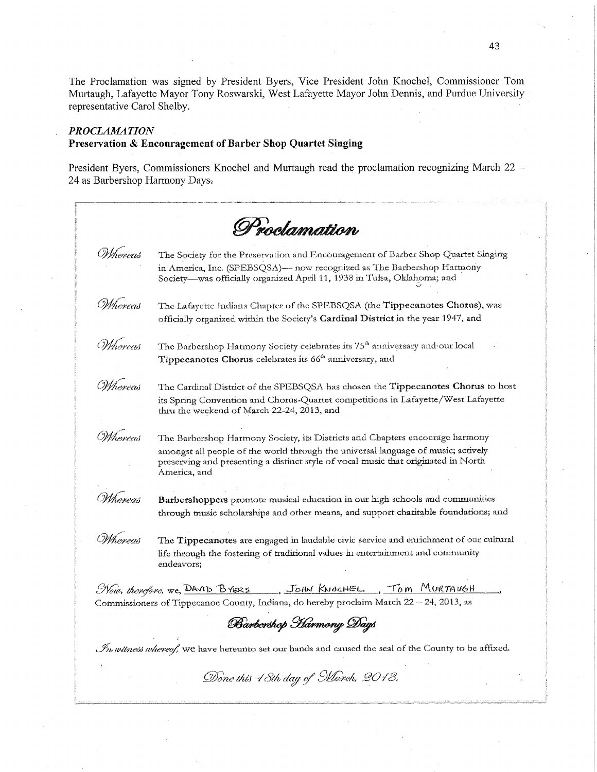The Proclamation was signed by President Byers, Vice President John Knochel, Commissioner Tom Murtaugh, Lafayette Mayor Tony Roswarski, West Lafayette Mayor John Dennis, and Purdue University representative Carol Shelby.

#### **PROCLAMATION**

#### Preservation & Encouragement of Barber Shop Quartet Singing

President Byers, Commissioners Knochel and Murtaugh read the proclamation recognizing March 22 -24 as Barbershop Harmony Days.

Proclamation Whereas The Society for the Preservation and Encouragement of Barber Shop Quartet Singing in America, Inc. (SPEBSQSA) - now recognized as The Barbershop Harmony Society-was officially organized April 11, 1938 in Tulsa, Oklahoma; and Whereas The Lafayette Indiana Chapter of the SPEBSQSA (the Tippecanotes Chorus), was officially organized within the Society's Cardinal District in the year 1947, and Mhereas The Barbershop Harmony Society celebrates its 75<sup>th</sup> anniversary and our local Tippecanotes Chorus celebrates its 66<sup>th</sup> anniversary, and Mhereas The Cardinal District of the SPEBSQSA has chosen the Tippecanotes Chorus to host its Spring Convention and Chorus-Quartet competitions in Lafayette/West Lafayette thru the weekend of March 22-24, 2013, and Mhereas The Barbershop Harmony Society, its Districts and Chapters encourage harmony amongst all people of the world through the universal language of music; actively preserving and presenting a distinct style of vocal music that originated in North America, and *Mereas* Barbershoppers promote musical education in our high schools and communities through music scholarships and other means, and support charitable foundations; and Mhereas The Tippecanotes are engaged in laudable civic service and enrichment of our cultural life through the fostering of traditional values in entertainment and community endeavors; SVow, therefore, we, DAVID BYERS, JOHN KNOCHEL, TOM MURTAUGH Commissioners of Tippecanoe County, Indiana, do hereby proclaim March 22 - 24, 2013, as Barbershop Harmony Days In witness whereof, we have hereunto set our hands and caused the seal of the County to be affixed. Done this 18th day of March, 2018.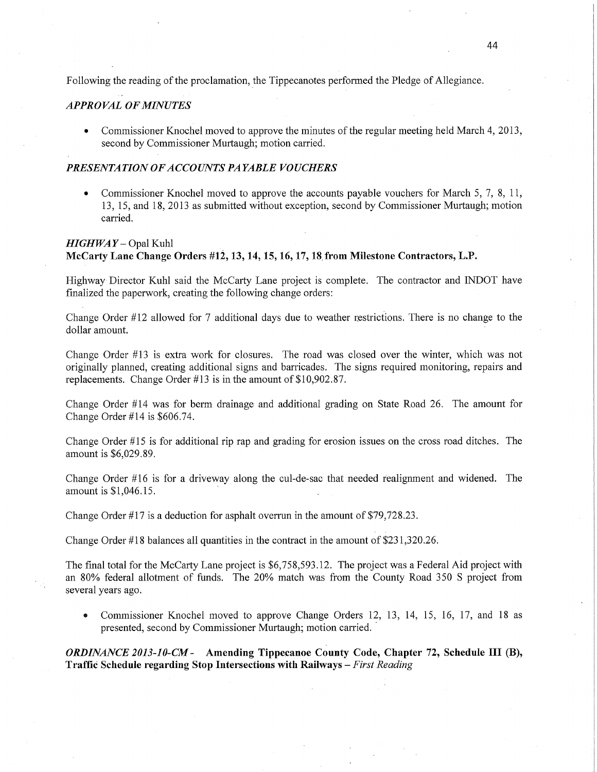Following the reading of the proclamation, the Tippecanotes performed the Pledge of Allegiance.

#### *APPROVAL* OF *MINUTES*

**0** Commissioner Knochel moved to approve the minutes of the regular meeting held March 4, 2013, second by Commissioner Murtaugh; motion carried.

## *PRESENTATION* OF *ACCOUNT S PAYABLE VOUCHERS*

**0** Commissioner Knochel moved to approve the accounts payable vouchers for March 5, 7, 8, 11, 13, 15, and 18, 2013 as submitted without exception, second by Commissioner Murtaugh; motion carried.

## *HIGHWAY* – Opal Kuhl **McCarty Lane Change** Orders **#12,** 13, 14, 15, 16, 17, 18' **from** Milestone **Contractors,** LP.

Highway'Director Kuhl said the McCarty Lane project is complete. The contractor and INDOT have finalized the paperwork, creating the following change orders:

Change Order #12 allowed for 7 additional days due to weather restrictions. There is no change to the dollar amount. *'* 

Change Order #13 is extra work for closures. The road was closed over the Winter, which was not originally planned, creating additional signs and barricades. The signs required monitoring, repairs and replacements. Change Order #13 is in the amount of \$10,902.87.

Change Order #14 was for berm drainage and additional grading on State Road 26. The amount for Change Order #14 is \$606.74.

Change Order #15 is for additional rip rap and grading for erosion issues on the cross road ditches. The amount is \$6,029.89.

Change Order #16 is for a driveway along the cul-de-sac that needed realignment and widened. The amount is \$1,046.15. \

Change Order #17 is a deduction for asphalt overrun in the amount of \$79,728.23.

Change Order #18 balances all quantities in the contract in the amount of \$231,320.26.

The final total for the McCarty Lane project is \$6,758,593.12. The project was a Federal Aid project with an 80% federal allotment of **funds.** The 20% match was from the County Road 350 S project from several years ago.

**0** Commissioner Knochel moved to approve Change Orders 12, 13, 14, 15, 16, 17, and 18 as presented, second by Commissioner Murtaugh; motion carried. *'* 

*ORDINANCE 2013-10-CM* - Amending **Tippecanoe** Cdunty Code, **Chapter** 72, **Schedule** III (B), **Traffic" Schedule regarding Stop** Intersections with **Railways —** *First Reading*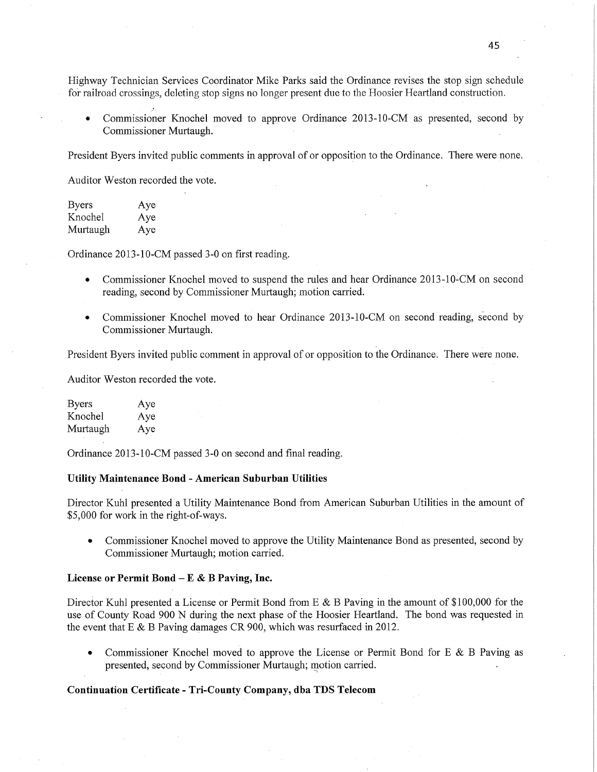Highway Technician Services Coordinator Mike Parks said the Ordinance revises the stop sign schedule for railroad crossings, deleting stop signs no longer present due to the Hoosier Heartland construction.

Commissioner Knochel moved to approve Ordinance 2013-10-CM as presented, second by Commissioner Murtaugh.

President Byers invited public comments in approval of or opposition to the Ordinance. There were none.

Auditor Weston recorded the vote.

| <b>Byers</b> | Aye |
|--------------|-----|
| Knochel      | Aye |
| Murtaugh     | Aye |

Ordinance 2013—10-CM passed 3—0 on first reading.

- Commissioner Knochel moved to suspend the rules and hear Ordinance 2013-10-CM on second reading, second by Commissioner Murtaugh; motion carried. '
- Commissioner Knochel moved to hear Ordinance 2013-10-CM on second reading, second by Commissioner Murtaugh.

President Byers invited public comment in approval of or opposition to the Ordinance. There were none.

Auditor Weston recorded the vote.

| <b>Byers</b> | Aye |
|--------------|-----|
| Knochel      | Aye |
| Murtaugh     | Aye |

Ordinance 2013-10-CM passed 3-0 on second and final reading.

#### **Utility Maintenance Bond- American Suburban Utilities**

Director Kuhl presented a Utility Maintenance Bond from American Suburban Utilities in the amount of \$5,000 for work in the right-of-ways.

**0** Commissioner Knochel moved to approve the Utility Maintenance Bond as presented, second by Commissioner Murtaugh; motion carried.

#### License or **Permit** Bond *—* **E** *&* B **Paving, Inc.**

Director Kuhl presented a License or Permit Bond from E & B Paving in the amount of \$100,000 for the use of County Road 900 N during the next phase of the Hoosier Heartland. The bond was requested in the event that E & B Paving damages CR 900, which was resurfaced in 2012.

**0** Commissioner Knochel moved to approve the License or Permit Bond for E & B Paving as presented, second by Commissioner Murtaugh; motion carried.

## Continuation **Certificate** *-* Tri—County Company, dba TDS Telecom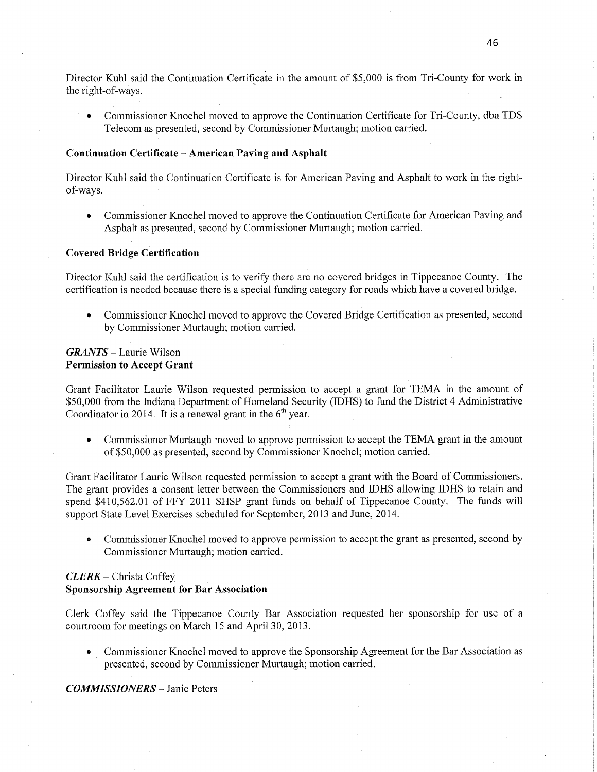Director Kuhl said the Continuation Certificate in the amount of \$5,000 is from Tri-County for work in the right-of-ways.

**' 0** Commissioner Knochel moved to approve the Continuation Certificate for Tri-County, dba TDS Telecom as presented, second by Commissioner Murtaugh; motion carried.

#### Continuation **Certificate — American** Paving and Asphalt

Director Kuhl said the Continuation Certificate is for American Paving and Asphalt to work in the rightof-ways.

*-* Commissioner Knochel moved to approve the Continuation Certificate for American **Paving** and **Asphalt** as presented, second by **Commissioner** Murtaugh; motion carried.

## **Covered Bridge Cértificatjon**

Director Kuhl said the certification is to verify there are no covered bridges in Tippecanoe County. The certification is needed because there is a special funding category for roads which have a covered bridge.

**0** Commissioner Knochel moved to approve the Covered Bridge Certification as presented, second by Commissioner Murtaugh; motion carried.

## *GRANTS* — Laurie Wilson **Permission** to **Accept Grant**

Grant Facilitator Laurie Wilson requested permission to accept a grant for TEMA in the amount of \$50,000 from the Indiana Department of Homeland Security **(IDHS)** to fund the District 4 **Administrative**  Coordinator in 2014. It is a renewal grant in the  $6<sup>th</sup>$  year.

• Commissioner Murtaugh moved to approve permission to accept the TEMA grant in the amount of \$50,000 as presented, **second** by Commissioner Knochel; motion carried.

Grant Facilitator Laurie Wilson requested permission to accept a grant with the Board of Commissioners. The grant provides a consent letter between the Commissioners and IDHS allowing IDHS to retain and spend \$410,562.01 of FFY 2011 SHSP grant funds on behalf of Tippecanoe County. The funds will support State Level Exercises scheduled for September, 2013 and June, 2014.

**0** Commissioner Knochel moved to approve permission to accept the grant as presented, second by Commissioner Murtaugh; motion carried.

#### *CLERK—* **Christa** Coffey **Sponsorship Agreement** for Bar **Association**

Clerk Coffey said the Tippecanoe County Bar Association requested her sponsorship for use of a courtroom for meetings on March 15 and April 30, 2013.

**0** . Commissioner Knochel moved to approve the Sponsorship Agreement for the Bar Association as presented, second by Commissioner Murtaugh; motion carried.

*COMMISSIONERS —* Janie Peters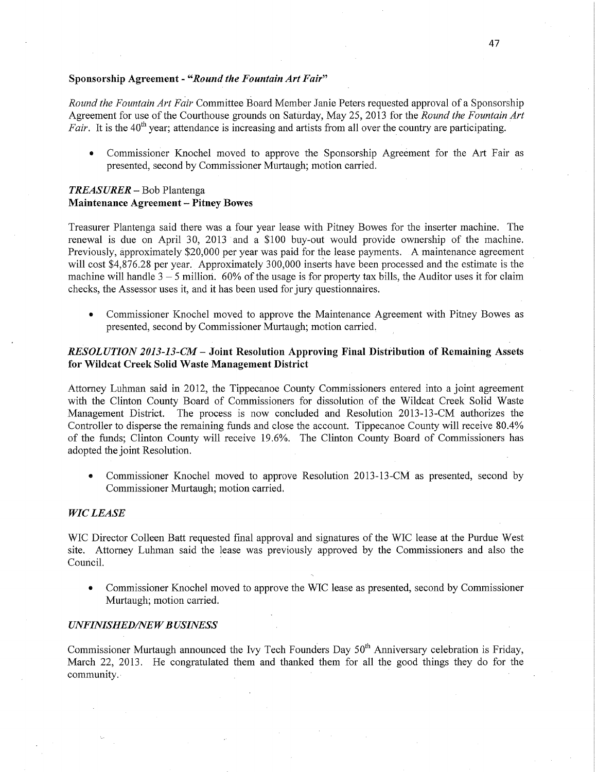## **Sponsorship Agreement** *- "Round* the *Fountain* Art *Fair"*

*Round* the *Fountain* Art Fair Committee Board Member Janie Peters requested approval of a Sponsorship Agreement for use of the Courthouse grounds on Saturday, May 25, 2013 for the *Round* the *Fountain* Art *Fair.* It is the 40<sup>th</sup> year; attendance is increasing and artists from all over the country are participating.

*0* Commissioner Knochel moved to approve the Sponsorship Agreement for the Art Fair as presented, second by Commissioner Murtaugh; motion carried.

## *TREASURER* —— Bob Plantenga **Maintenance Agreement** *—* Pitney **Bowes**

Treasurer Plantenga said there was a four year lease with Pitney Bowes for the inserter machine. The renewal is due on April 30, 2013 and a  $$100$  buy-out would provide ownership of the machine. Previously, approximately \$20,000 per year was paid for the lease payments. A maintenance agreement will cost \$4,876.28 per year. Approximately 300,000 inserts have been processed and the estimate is the machine will handle 3— 5 **million.** 60% of the usage is for property tax bills, the Auditor uses it for claim checks, the Assessor uses it, and it has been used for jury questionnaires.

**0** Commissioner Knochel moved to approve the Maintenance Agreement with Pitney Bowes as presented, second by Commissioner Murtaugh; motion carried:

# *RESOLUTION 2013-13-CM—* Joint Resolution **Approving Final Distribution** of Remaining **Assets**  for Wildcat **Creek** Solid **Waste Management District**

Attorney Luhman said in 2012, the Tippecanoe County Commissioners entered into a joint agreemen<sup>t</sup> with the Clinton County Board of Commissioners for dissolution of the Wildcat Creek Solid Waste Management District. The process is now concluded and Resolution 2013-13—CM authorizes the Controller to disperse the remaining **funds** and close the account. Tippecanoe County will receive 80.4% of the funds; Clinton County will receive **19.6%.** The Clinton County Board of Commissioners has adopted the joint Resolution.

**0** Commissioner Knochel moved to approve Resolution 2013—13-CM as presented, second by Commissioner Murtaugh; motion carried.

#### $WIC$ *LEASE*

WIC Director Colleen Batt requested final approval and signatures of the WIC lease at the Purdue West site. Attorney Luhman said the lease was previously approved by the Commissioners and also the Council.

**0** Commissioner Knochel moved to approve the WIC lease as presented, second by Commissioner Murtaugh; motion carried.

#### *UNFINISHED/NE W B USINESS*

Commissioner Murtaugh announced the Ivy Tech Founders Day 50<sup>th</sup> Anniversary celebration is Friday, March 22,2013. He congratulated them and thanked them for all the good things they do for the community.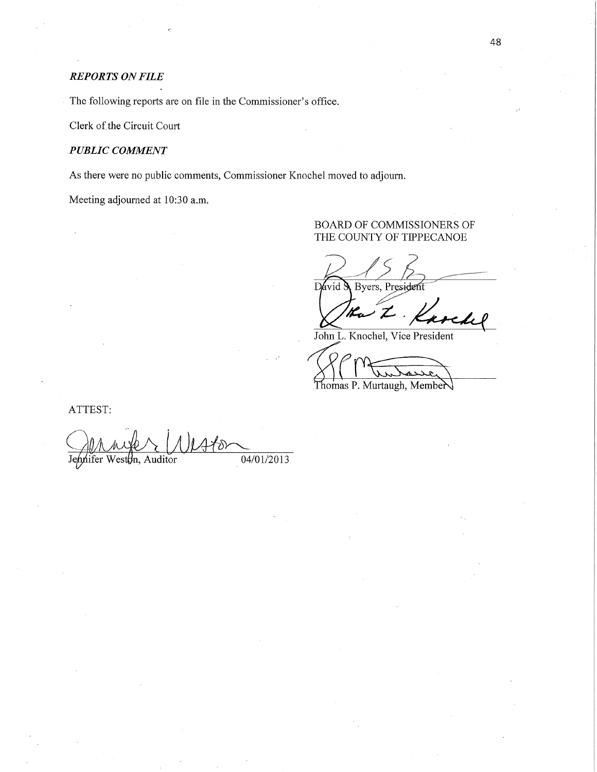# **REPORTS ON FILE**

The following reports are on file in the Commissioner's office.

Clerk of the Circuit Court

# **PUBLIC COMMENT**

As there were no public comments, Commissioner Knochel moved to adjourn.

Meeting adjourned at 10:30 a.m.

# BOARD OF COMMISSIONERS OF THE COUNTY OF TIPPECANOE

Byers, President D ávid

John L. Knochel, Vice President

Thomas P. Murtaugh, Member

ATTEST:

04/01/2013 Jehnifer Weston, Auditor

48